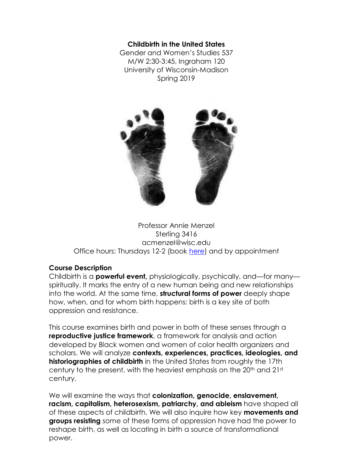#### **Childbirth in the United States**

Gender and Women's Studies 537 M/W 2:30-3:45, Ingraham 120 University of Wisconsin-Madison Spring 2019



Professor Annie Menzel Sterling 3416 acmenzel@wisc.edu Office hours: Thursdays 12-2 (book [here\)](https://anniemenzel.youcanbook.me/) and by appointment

#### **Course Description**

Childbirth is a **powerful event,** physiologically, psychically, and—for many spiritually. It marks the entry of a new human being and new relationships into the world. At the same time, **structural forms of power** deeply shape how, when, and for whom birth happens: birth is a key site of both oppression and resistance.

This course examines birth and power in both of these senses through a **reproductive justice framework**, a framework for analysis and action developed by Black women and women of color health organizers and scholars. We will analyze **contexts, experiences, practices, ideologies, and historiographies of childbirth** in the United States from roughly the 17th century to the present, with the heaviest emphasis on the 20<sup>th</sup> and 21st century.

We will examine the ways that **colonization, genocide, enslavement, racism, capitalism, heterosexism, patriarchy, and ableism** have shaped all of these aspects of childbirth. We will also inquire how key **movements and groups resisting** some of these forms of oppression have had the power to reshape birth, as well as locating in birth a source of transformational power.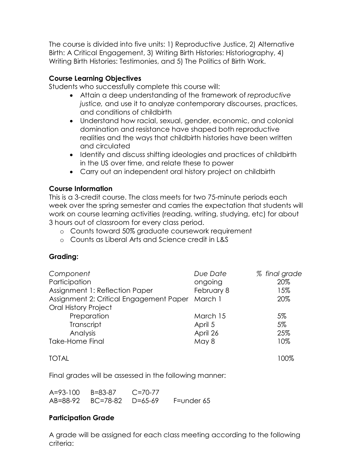The course is divided into five units: 1) Reproductive Justice, 2) Alternative Birth: A Critical Engagement, 3) Writing Birth Histories: Historiography, 4) Writing Birth Histories: Testimonies, and 5) The Politics of Birth Work.

### **Course Learning Objectives**

Students who successfully complete this course will:

- Attain a deep understanding of the framework of *reproductive justice,* and use it to analyze contemporary discourses, practices, and conditions of childbirth
- Understand how racial, sexual, gender, economic, and colonial domination and resistance have shaped both reproductive realities and the ways that childbirth histories have been written and circulated
- Identify and discuss shifting ideologies and practices of childbirth in the US over time, and relate these to power
- Carry out an independent oral history project on childbirth

### **Course Information**

This is a 3-credit course. The class meets for two 75-minute periods each week over the spring semester and carries the expectation that students will work on course learning activities (reading, writing, studying, etc) for about 3 hours out of classroom for every class period.

- o Counts toward 50% graduate coursework requirement
- o Counts as Liberal Arts and Science credit in L&S

## **Grading:**

| Component                               | Due Date   | % final grade |
|-----------------------------------------|------------|---------------|
| Participation                           | ongoing    | 20%           |
| Assignment 1: Reflection Paper          | February 8 | 15%           |
| Assignment 2: Critical Engagement Paper | March 1    | 20%           |
| <b>Oral History Project</b>             |            |               |
| Preparation                             | March 15   | 5%            |
| Transcript                              | April 5    | 5%            |
| Analysis                                | April 26   | 25%           |
| <b>Take-Home Final</b>                  | May 8      | 10%           |
|                                         |            |               |

TOTAL 100%

Final grades will be assessed in the following manner:

| A=93-100 B=83-87 C=70-77 |                                      |
|--------------------------|--------------------------------------|
|                          | AB=88-92 BC=78-82 D=65-69 F=under 65 |

### **Participation Grade**

A grade will be assigned for each class meeting according to the following criteria: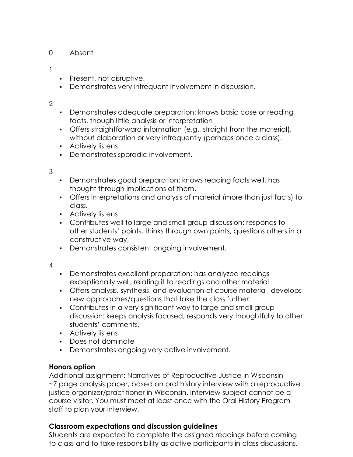## 0 Absent

### 1

- Present, not disruptive.
- Demonstrates very infrequent involvement in discussion.

## 2

- Demonstrates adequate preparation: knows basic case or reading facts, though little analysis or interpretation
- Offers straightforward information (e.g., straight from the material), without elaboration or very infrequently (perhaps once a class).
- **Actively listens**
- Demonstrates sporadic involvement.

### 3

- Demonstrates good preparation: knows reading facts well, has thought through implications of them.
- Offers interpretations and analysis of material (more than just facts) to class.
- **Actively listens**
- Contributes well to large and small group discussion: responds to other students' points, thinks through own points, questions others in a constructive way,
- Demonstrates consistent ongoing involvement.
- 4
- Demonstrates excellent preparation: has analyzed readings exceptionally well, relating it to readings and other material
- Offers analysis, synthesis, and evaluation of course material, develops new approaches/questions that take the class further.
- Contributes in a very significant way to large and small group discussion: keeps analysis focused, responds very thoughtfully to other students' comments,
- **Actively listens**
- Does not dominate
- Demonstrates ongoing very active involvement.

## **Honors option**

Additional assignment: Narratives of Reproductive Justice in Wisconsin ~7 page analysis paper, based on oral history interview with a reproductive justice organizer/practitioner in Wisconsin. Interview subject cannot be a course visitor. You must meet at least once with the Oral History Program staff to plan your interview.

## **Classroom expectations and discussion guidelines**

Students are expected to complete the assigned readings before coming to class and to take responsibility as active participants in class discussions.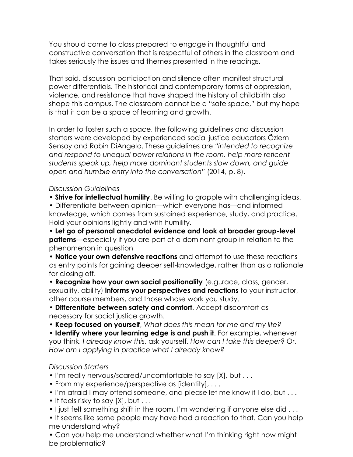You should come to class prepared to engage in thoughtful and constructive conversation that is respectful of others in the classroom and takes seriously the issues and themes presented in the readings.

That said, discussion participation and silence often manifest structural power differentials. The historical and contemporary forms of oppression, violence, and resistance that have shaped the history of childbirth also shape this campus. The classroom cannot be a "safe space," but my hope is that it can be a space of learning and growth.

In order to foster such a space, the following guidelines and discussion starters were developed by experienced social justice educators Özlem Sensoy and Robin DiAngelo. These guidelines are *"intended to recognize and respond to unequal power relations in the room, help more reticent students speak up, help more dominant students slow down, and guide open and humble entry into the conversation"* (2014, p. 8).

*Discussion Guidelines*

• **Strive for intellectual humility**. Be willing to grapple with challenging ideas.

• Differentiate between opinion—which everyone has—and informed knowledge, which comes from sustained experience, study, and practice. Hold your opinions lightly and with humility.

• **Let go of personal anecdotal evidence and look at broader group-level patterns**—especially if you are part of a dominant group in relation to the phenomenon in question

• **Notice your own defensive reactions** and attempt to use these reactions as entry points for gaining deeper self-knowledge, rather than as a rationale for closing off.

• **Recognize how your own social positionality** (e.g.,race, class, gender, sexuality, ability) **informs your perspectives and reactions** to your instructor, other course members, and those whose work you study.

• **Differentiate between safety and comfort**. Accept discomfort as necessary for social justice growth.

• **Keep focused on yourself**, *What does this mean for me and my life?*

• **Identify where your learning edge is and push it**. For example, whenever you think, *I already know this*, ask yourself, *How can I take this deeper?* Or, *How am I applying in practice what I already know?*

#### *Discussion Starters*

- I'm really nervous/scared/uncomfortable to say [X], but . . .
- From my experience/perspective as [identity], . . .
- I'm afraid I may offend someone, and please let me know if I do, but . . .
- It feels risky to say [X], but . . .
- I just felt something shift in the room. I'm wondering if anyone else did . . .

• It seems like some people may have had a reaction to that. Can you help me understand why?

• Can you help me understand whether what I'm thinking right now might be problematic?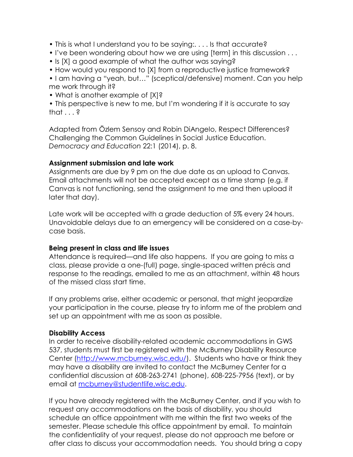- This is what I understand you to be saying:. . . . Is that accurate?
- I've been wondering about how we are using [term] in this discussion . . .
- Is [X] a good example of what the author was saying?
- How would you respond to [X] from a reproductive justice framework?

• I am having a "yeah, but…" (sceptical/defensive) moment. Can you help me work through it?

• What is another example of [X]?

• This perspective is new to me, but I'm wondering if it is accurate to say that  $\ldots$ ?

Adapted from Özlem Sensoy and Robin DiAngelo, Respect Differences? Challenging the Common Guidelines in Social Justice Education. *Democracy and Education* 22:1 (2014), p. 8.

### **Assignment submission and late work**

Assignments are due by 9 pm on the due date as an upload to Canvas. Email attachments will not be accepted except as a time stamp (e.g. if Canvas is not functioning, send the assignment to me and then upload it later that day).

Late work will be accepted with a grade deduction of 5% every 24 hours. Unavoidable delays due to an emergency will be considered on a case-bycase basis.

#### **Being present in class and life issues**

Attendance is required—and life also happens. If you are going to miss a class, please provide a one-(full) page, single-spaced written précis and response to the readings, emailed to me as an attachment, within 48 hours of the missed class start time.

If any problems arise, either academic or personal, that might jeopardize your participation in the course, please try to inform me of the problem and set up an appointment with me as soon as possible.

### **Disability Access**

In order to receive disability-related academic accommodations in GWS 537, students must first be registered with the McBurney Disability Resource Center [\(http://www.mcburney.wisc.edu/\)](http://www.mcburney.wisc.edu/). Students who have or think they may have a disability are invited to contact the McBurney Center for a confidential discussion at 608-263-2741 (phone), 608-225-7956 (text), or by email at [mcburney@studentlife.wisc.edu.](mailto:mcburney@odos.wisc.edu)

If you have already registered with the McBurney Center, and if you wish to request any accommodations on the basis of disability, you should schedule an office appointment with me within the first two weeks of the semester. Please schedule this office appointment by email. To maintain the confidentiality of your request, please do not approach me before or after class to discuss your accommodation needs. You should bring a copy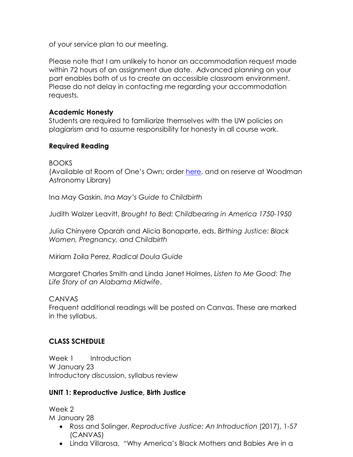of your service plan to our meeting.

Please note that I am unlikely to honor an accommodation request made within 72 hours of an assignment due date. Advanced planning on your part enables both of us to create an accessible classroom environment. Please do not delay in contacting me regarding your accommodation requests.

## **Academic Honesty**

Students are required to familiarize themselves with the UW policies on plagiarism and to assume responsibility for honesty in all course work.

## **Required Reading**

BOOKS

(Available at Room of One's Own; order here, and on reserve at Woodman Astronomy Library)

Ina May Gaskin, *Ina May's Guide to Childbirth*

Judith Walzer Leavitt, *Brought to Bed: Childbearing in America 1750-1950*

Julia Chinyere Oparah and Alicia Bonaparte, eds, *Birthing Justice: Black Women, Pregnancy, and Childbirth*

Miriam Zoila Perez, *Radical Doula Guide*

Margaret Charles Smith and Linda Janet Holmes, *Listen to Me Good: The Life Story of an Alabama Midwife*.

CANVAS

Frequent additional readings will be posted on Canvas. These are marked in the syllabus.

# **CLASS SCHEDULE**

Week 1 Introduction W January 23 Introductory discussion, syllabus review

# **UNIT 1: Reproductive Justice, Birth Justice**

Week 2 M January 28

- Ross and Solinger, *Reproductive Justice: An Introduction* (2017), 1-57 (CANVAS)
- Linda Villarosa, "Why America's Black Mothers and Babies Are in a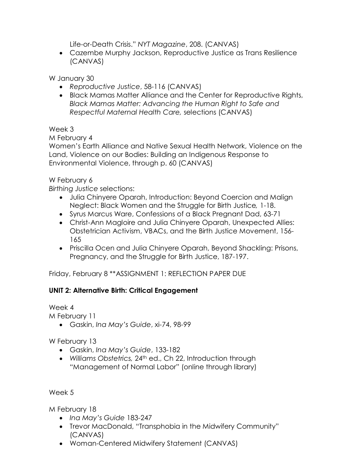Life-or-Death Crisis." *NYT Magazine*, 208. (CANVAS)

• Cazembe Murphy Jackson, Reproductive Justice as Trans Resilience (CANVAS)

W January 30

- *Reproductive Justice*, 58-116 (CANVAS)
- Black Mamas Matter Alliance and the Center for Reproductive Rights, *Black Mamas Matter: Advancing the Human Right to Safe and Respectful Maternal Health Care,* selections (CANVAS)

Week 3

M February 4

Women's Earth Alliance and Native Sexual Health Network, Violence on the Land, Violence on our Bodies: Building an Indigenous Response to Environmental Violence, through p. 60 (CANVAS)

## W February 6

*Birthing Justice* selections:

- Julia Chinyere Oparah, Introduction: Beyond Coercion and Malign Neglect: Black Women and the Struggle for Birth Justice*,* 1-18.
- Syrus Marcus Ware, Confessions of a Black Pregnant Dad, 63-71
- Christ-Ann Magloire and Julia Chinyere Oparah, Unexpected Allies: Obstetrician Activism, VBACs, and the Birth Justice Movement, 156- 165
- Priscilla Ocen and Julia Chinyere Oparah, Beyond Shackling: Prisons, Pregnancy, and the Struggle for Birth Justice, 187-197.

Friday, February 8 \*\*ASSIGNMENT 1: REFLECTION PAPER DUE

## **UNIT 2: Alternative Birth: Critical Engagement**

Week 4

M February 11

• Gaskin, *Ina May's Guide*, xi-74, 98-99

W February 13

- Gaskin, *Ina May's Guide*, 133-182
- *Williams Obstetrics,* 24th ed., Ch 22, Introduction through "Management of Normal Labor" (online through library)

Week 5

M February 18

- *Ina May's Guide* 183-247
- Trevor MacDonald, "Transphobia in the Midwifery Community" (CANVAS)
- Woman-Centered Midwifery Statement (CANVAS)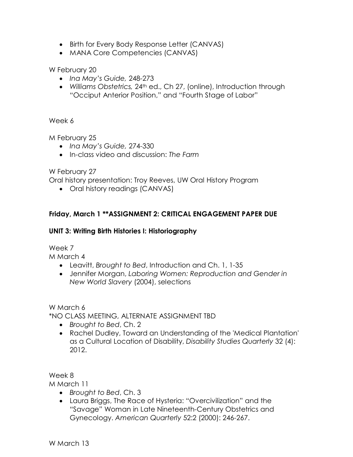- Birth for Every Body Response Letter (CANVAS)
- MANA Core Competencies (CANVAS)

W February 20

- *Ina May's Guide,* 248-273
- *Williams Obstetrics,* 24th ed., Ch 27, (online), Introduction through "Occiput Anterior Position," and "Fourth Stage of Labor"

Week 6

M February 25

- *Ina May's Guide,* 274-330
- In-class video and discussion: *The Farm*

W February 27

Oral history presentation: Troy Reeves, UW Oral History Program

• Oral history readings (CANVAS)

## **Friday, March 1 \*\*ASSIGNMENT 2: CRITICAL ENGAGEMENT PAPER DUE**

### **UNIT 3: Writing Birth Histories I: Historiography**

Week 7

M March 4

- Leavitt, *Brought to Bed*, Introduction and Ch. 1, 1-35
- Jennifer Morgan, *Laboring Women: Reproduction and Gender in New World Slavery* (2004), selections

W March 6

\*NO CLASS MEETING, ALTERNATE ASSIGNMENT TBD

- *Brought to Bed*, Ch. 2
- Rachel Dudley, Toward an Understanding of the 'Medical Plantation' as a Cultural Location of Disability, *Disability Studies Quarterly* 32 (4): 2012.

Week 8

M March 11

- *Brought to Bed*, Ch. 3
- Laura Briggs, The Race of Hysteria: "Overcivilization" and the "Savage" Woman in Late Nineteenth-Century Obstetrics and Gynecology. *American Quarterly* 52:2 (2000): 246-267.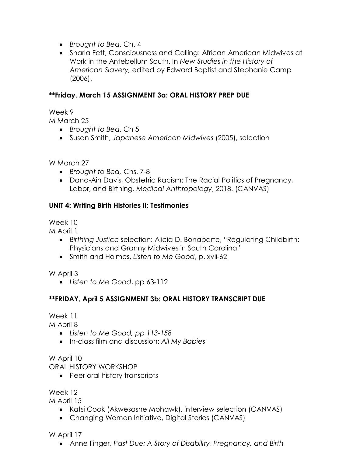- *Brought to Bed*, Ch. 4
- Sharla Fett, Consciousness and Calling: African American Midwives at Work in the Antebellum South. In *New Studies in the History of American Slavery,* edited by Edward Baptist and Stephanie Camp (2006).

## **\*\*Friday, March 15 ASSIGNMENT 3a: ORAL HISTORY PREP DUE**

Week 9

M March 25

- *Brought to Bed*, Ch 5
- Susan Smith, *Japanese American Midwives* (2005), selection

W March 27

- *Brought to Bed,* Chs. 7-8
- Dana-Ain Davis, Obstetric Racism: The Racial Politics of Pregnancy, Labor, and Birthing. *Medical Anthropology*, 2018. (CANVAS)

# **UNIT 4: Writing Birth Histories II: Testimonies**

Week 10

M April 1

- *Birthing Justice* selection: Alicia D. Bonaparte, "Regulating Childbirth: Physicians and Granny Midwives in South Carolina"
- Smith and Holmes, *Listen to Me Good*, p. xvii-62

W April 3

• *Listen to Me Good*, pp 63-112

# **\*\*FRIDAY, April 5 ASSIGNMENT 3b: ORAL HISTORY TRANSCRIPT DUE**

Week 11

M April 8

- *Listen to Me Good, pp 113-158*
- In-class film and discussion: *All My Babies*

W April 10

ORAL HISTORY WORKSHOP

• Peer oral history transcripts

Week 12

M April 15

- Katsi Cook (Akwesasne Mohawk), interview selection (CANVAS)
- Changing Woman Initiative, Digital Stories (CANVAS)

W April 17

• Anne Finger, *Past Due: A Story of Disability, Pregnancy, and Birth*